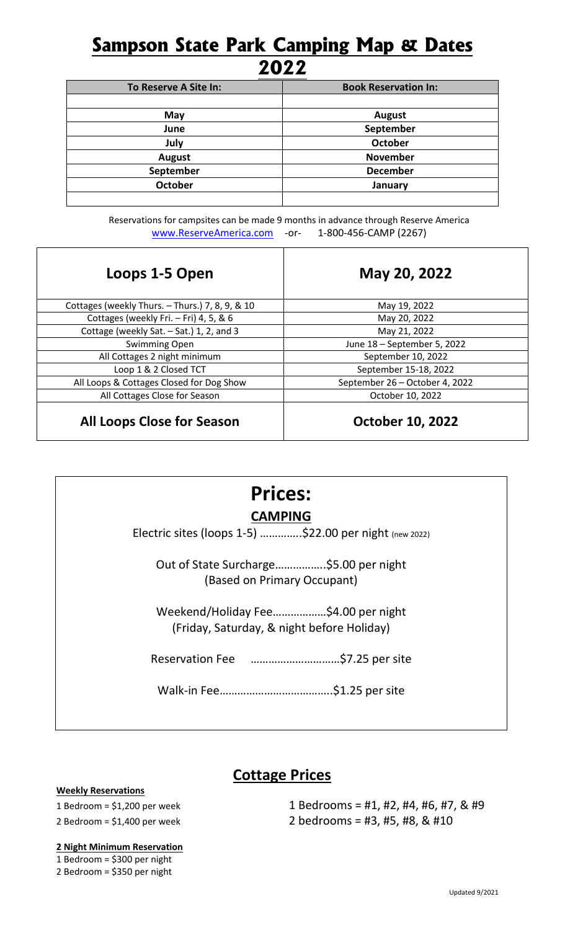# **Sampson State Park Camping Map & Dates 2022**

| To Reserve A Site In: | <b>Book Reservation In:</b> |
|-----------------------|-----------------------------|
|                       |                             |
| May                   | August                      |
| June                  | September                   |
| July                  | October                     |
| <b>August</b>         | <b>November</b>             |
| September             | <b>December</b>             |
| <b>October</b>        | January                     |
|                       |                             |

Reservations for campsites can be made 9 months in advance through Reserve America [www.ReserveAmerica.com](http://www.reserveamerica.com/) - or- 1-800-456-CAMP (2267)

| Loops 1-5 Open                                  | May 20, 2022                   |
|-------------------------------------------------|--------------------------------|
| Cottages (weekly Thurs. - Thurs.) 7, 8, 9, & 10 | May 19, 2022                   |
| Cottages (weekly Fri. - Fri) 4, 5, & 6          | May 20, 2022                   |
| Cottage (weekly Sat. - Sat.) 1, 2, and 3        | May 21, 2022                   |
| Swimming Open                                   | June 18 - September 5, 2022    |
| All Cottages 2 night minimum                    | September 10, 2022             |
| Loop 1 & 2 Closed TCT                           | September 15-18, 2022          |
| All Loops & Cottages Closed for Dog Show        | September 26 - October 4, 2022 |
| All Cottages Close for Season                   | October 10, 2022               |
| <b>All Loops Close for Season</b>               | <b>October 10, 2022</b>        |

# **Prices:**

### **CAMPING**

Electric sites (loops 1-5) …………..\$22.00 per night (new 2022)

Out of State Surcharge……………..\$5.00 per night (Based on Primary Occupant)

Weekend/Holiday Fee………………\$4.00 per night (Friday, Saturday, & night before Holiday)

Reservation Fee …………………………\$7.25 per site

Walk-in Fee………………………………..\$1.25 per site

### **Cottage Prices**

#### **Weekly Reservations**

1 Bedroom = \$1,200 per week 1 Bedrooms = #1, #2, #4, #6, #7, & #9 2 Bedroom = \$1,400 per week 2 bedrooms = #3, #5, #8, & #10

### **2 Night Minimum Reservation**

1 Bedroom = \$300 per night 2 Bedroom = \$350 per night